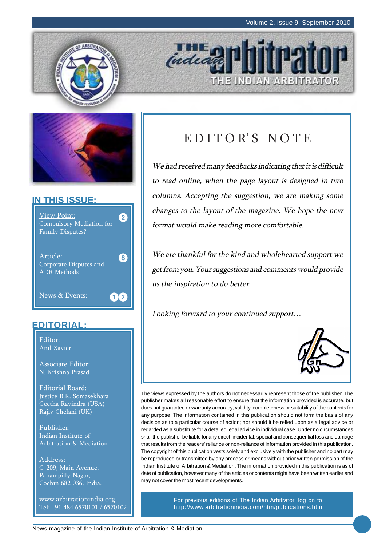E INDIAN ARBITRATOR





#### **IN THIS ISSUE:**



#### **EDITORIAL:**

Editor: Anil Xavier

Associate Editor: N. Krishna Prasad

Editorial Board: Justice B.K. Somasekhara Geetha Ravindra (USA) Rajiv Chelani (UK)

Publisher: Indian Institute of Arbitration & Mediation

Address: G-209, Main Avenue, Panampilly Nagar, Cochin 682 036, India.

www.arbitrationindia.org Tel: +91 484 6570101 / 6570102

### EDITOR'S NOTE

indeal

We had received many feedbacks indicating that it is difficult to read online, when the page layout is designed in two columns. Accepting the suggestion, we are making some changes to the layout of the magazine. We hope the new format would make reading more comfortable.

We are thankful for the kind and wholehearted support we get from you. Your suggestions and comments would provide us the inspiration to do better.

Looking forward to your continued support…



The views expressed by the authors do not necessarily represent those of the publisher. The publisher makes all reasonable effort to ensure that the information provided is accurate, but does not guarantee or warranty accuracy, validity, completeness or suitability of the contents for any purpose. The information contained in this publication should not form the basis of any decision as to a particular course of action; nor should it be relied upon as a legal advice or regarded as a substitute for a detailed legal advice in individual case. Under no circumstances shall the publisher be liable for any direct, incidental, special and consequential loss and damage that results from the readers' reliance or non-reliance of information provided in this publication. The copyright of this publication vests solely and exclusively with the publisher and no part may be reproduced or transmitted by any process or means without prior written permission of the Indian Institute of Arbitration & Mediation. The information provided in this publication is as of date of publication, however many of the articles or contents might have been written earlier and may not cover the most recent developments.

> For previous editions of The Indian Arbitrator, log on to http://www.arbitrationindia.com/htm/publications.htm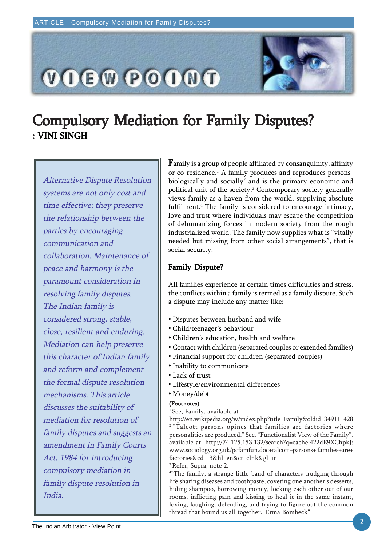

### Compulsory Mediation for Family Disputes? : VINI SINGH

Alternative Dispute Resolution systems are not only cost and time effective; they preserve the relationship between the parties by encouraging communication and collaboration. Maintenance of peace and harmony is the paramount consideration in resolving family disputes. The Indian family is considered strong, stable, close, resilient and enduring. Mediation can help preserve this character of Indian family and reform and complement the formal dispute resolution mechanisms. This article discusses the suitability of mediation for resolution of family disputes and suggests an amendment in Family Courts Act, 1984 for introducing compulsory mediation in family dispute resolution in India.

 ${\bf F}$ amily is a group of people affiliated by consanguinity, affinity or co-residence.1 A family produces and reproduces personsbiologically and socially $^{\rm 2}$  and is the primary economic and political unit of the society.<sup>3</sup> Contemporary society generally views family as a haven from the world, supplying absolute fulfilment.4 The family is considered to encourage intimacy, love and trust where individuals may escape the competition of dehumanizing forces in modern society from the rough industrialized world. The family now supplies what is "vitally needed but missing from other social arrangements", that is social security.

#### Family Dispute?

All families experience at certain times difficulties and stress, the conflicts within a family is termed as a family dispute. Such a dispute may include any matter like:

- Disputes between husband and wife
- Child/teenager's behaviour
- Children's education, health and welfare
- Contact with children (separated couples or extended families)
- Financial support for children (separated couples)
- Inability to communicate
- Lack of trust
- Lifestyle/environmental differences
- Money/debt

#### (Footnotes)

<sup>1</sup> See, Family, available at

http://en.wikipedia.org/w/index.php?title=Family&oldid=349111428 <sup>2</sup> "Talcott parsons opines that families are factories where personalities are produced." See, "Functionalist View of the Family", available at, http://74.125.153.132/search?q=cache:422dE9XChpkJ: www.sociology.org.uk/pcfamfun.doc+talcott+parsons+ families+are+ factories&cd =3&hl=en&ct=clnk&gl=in 3 Refer, Supra, note 2.

4 "The family, a strange little band of characters trudging through life sharing diseases and toothpaste, coveting one another's desserts, hiding shampoo, borrowing money, locking each other out of our rooms, inflicting pain and kissing to heal it in the same instant, loving, laughing, defending, and trying to figure out the common thread that bound us all together.~Erma Bombeck"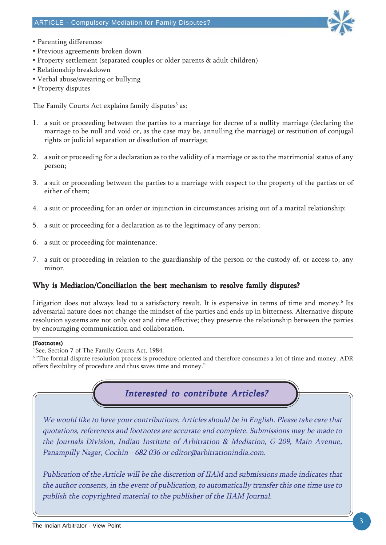

- Parenting differences
- Previous agreements broken down
- Property settlement (separated couples or older parents & adult children)
- Relationship breakdown
- Verbal abuse/swearing or bullying
- Property disputes

The Family Courts Act explains family disputes<sup>5</sup> as:

- 1. a suit or proceeding between the parties to a marriage for decree of a nullity marriage (declaring the marriage to be null and void or, as the case may be, annulling the marriage) or restitution of conjugal rights or judicial separation or dissolution of marriage;
- 2. a suit or proceeding for a declaration as to the validity of a marriage or as to the matrimonial status of any person;
- 3. a suit or proceeding between the parties to a marriage with respect to the property of the parties or of either of them;
- 4. a suit or proceeding for an order or injunction in circumstances arising out of a marital relationship;
- 5. a suit or proceeding for a declaration as to the legitimacy of any person;
- 6. a suit or proceeding for maintenance;
- 7. a suit or proceeding in relation to the guardianship of the person or the custody of, or access to, any minor.

#### Why is Mediation/Conciliation the best mechanism to resolve family disputes?

Litigation does not always lead to a satisfactory result. It is expensive in terms of time and money. $^6$  Its adversarial nature does not change the mindset of the parties and ends up in bitterness. Alternative dispute resolution systems are not only cost and time effective; they preserve the relationship between the parties by encouraging communication and collaboration.

#### (Footnotes)

<sup>6</sup> "The formal dispute resolution process is procedure oriented and therefore consumes a lot of time and money. ADR offers flexibility of procedure and thus saves time and money."



<sup>5</sup> See, Section 7 of The Family Courts Act, 1984.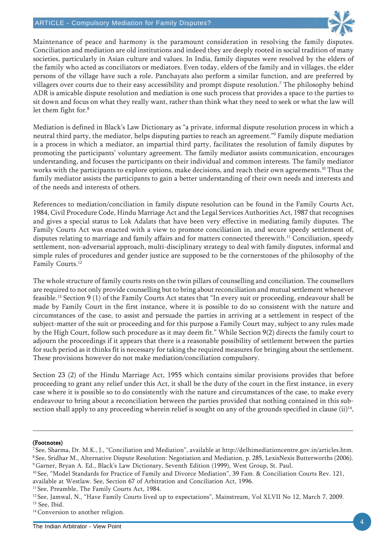#### ARTICLE - Compulsory Mediation for Family Disputes?



Maintenance of peace and harmony is the paramount consideration in resolving the family disputes. Conciliation and mediation are old institutions and indeed they are deeply rooted in social tradition of many societies, particularly in Asian culture and values. In India, family disputes were resolved by the elders of the family who acted as conciliators or mediators. Even today, elders of the family and in villages, the elder persons of the village have such a role. Panchayats also perform a similar function, and are preferred by villagers over courts due to their easy accessibility and prompt dispute resolution.7 The philosophy behind ADR is amicable dispute resolution and mediation is one such process that provides a space to the parties to sit down and focus on what they really want, rather than think what they need to seek or what the law will let them fight for.<sup>8</sup>

Mediation is defined in Black's Law Dictionary as "a private, informal dispute resolution process in which a neutral third party, the mediator, helps disputing parties to reach an agreement."9 Family dispute mediation is a process in which a mediator, an impartial third party, facilitates the resolution of family disputes by promoting the participants' voluntary agreement. The family mediator assists communication, encourages understanding, and focuses the participants on their individual and common interests. The family mediator works with the participants to explore options, make decisions, and reach their own agreements.<sup>10</sup> Thus the family mediator assists the participants to gain a better understanding of their own needs and interests and of the needs and interests of others.

References to mediation/conciliation in family dispute resolution can be found in the Family Courts Act, 1984, Civil Procedure Code, Hindu Marriage Act and the Legal Services Authorities Act, 1987 that recognises and gives a special status to Lok Adalats that have been very effective in mediating family disputes. The Family Courts Act was enacted with a view to promote conciliation in, and secure speedy settlement of, disputes relating to marriage and family affairs and for matters connected therewith.<sup>11</sup> Conciliation, speedy settlement, non-adversarial approach, multi-disciplinary strategy to deal with family disputes, informal and simple rules of procedures and gender justice are supposed to be the cornerstones of the philosophy of the Family Courts.<sup>12</sup>

The whole structure of family courts rests on the twin pillars of counselling and conciliation. The counsellors are required to not only provide counselling but to bring about reconciliation and mutual settlement whenever feasible.<sup>13</sup> Section 9 (1) of the Family Courts Act states that "In every suit or proceeding, endeavour shall be made by Family Court in the first instance, where it is possible to do so consistent with the nature and circumstances of the case, to assist and persuade the parties in arriving at a settlement in respect of the subject-matter of the suit or proceeding and for this purpose a Family Court may, subject to any rules made by the High Court, follow such procedure as it may deem fit." While Section 9(2) directs the family court to adjourn the proceedings if it appears that there is a reasonable possibility of settlement between the parties for such period as it thinks fit is necessary for taking the required measures for bringing about the settlement. These provisions however do not make mediation/conciliation compulsory.

Section 23 (2) of the Hindu Marriage Act, 1955 which contains similar provisions provides that before proceeding to grant any relief under this Act, it shall be the duty of the court in the first instance, in every case where it is possible so to do consistently with the nature and circumstances of the case, to make every endeavour to bring about a reconciliation between the parties provided that nothing contained in this subsection shall apply to any proceeding wherein relief is sought on any of the grounds specified in clause  $(ii)^{14}$ ,

#### (Footnotes)

9 Garner, Bryan A. Ed., Black's Law Dictionary, Seventh Edition (1999), West Group, St. Paul.

<sup>11</sup> See, Preamble, The Family Courts Act, 1984.

<sup>12</sup> See, Jamwal, N., "Have Family Courts lived up to expectations", Mainstream, Vol XLVII No 12, March 7, 2009. <sup>13</sup> See, Ibid.

<sup>&</sup>lt;sup>7</sup> See, Sharma, Dr. M.K., J., "Conciliation and Mediation", available at http://delhimediationcentre.gov.in/articles.htm. 8 See, Sridhar M., Alternative Dispute Resolution: Negotiation and Mediation, p. 285, LexisNexis Butterworths (2006).

<sup>&</sup>lt;sup>10</sup> See, "Model Standards for Practice of Family and Divorce Mediation", 39 Fam. & Conciliation Courts Rev. 121, available at Westlaw. See, Section 67 of Arbitration and Conciliation Act, 1996.

<sup>&</sup>lt;sup>14</sup> Conversion to another religion.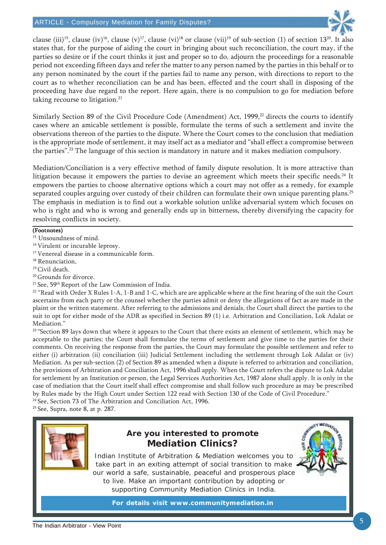

clause (iii)<sup>15</sup>, clause (iv)<sup>16</sup>, clause (v)<sup>17</sup>, clause (vi)<sup>18</sup> or clause (vii)<sup>19</sup> of sub-section (1) of section 13<sup>20</sup>. It also states that, for the purpose of aiding the court in bringing about such reconciliation, the court may, if the parties so desire or if the court thinks it just and proper so to do, adjourn the proceedings for a reasonable period not exceeding fifteen days and refer the matter to any person named by the parties in this behalf or to any person nominated by the court if the parties fail to name any person, with directions to report to the court as to whether reconciliation can be and has been, effected and the court shall in disposing of the proceeding have due regard to the report. Here again, there is no compulsion to go for mediation before taking recourse to litigation.<sup>21</sup>

Similarly Section 89 of the Civil Procedure Code (Amendment) Act, 1999,<sup>22</sup> directs the courts to identify cases where an amicable settlement is possible, formulate the terms of such a settlement and invite the observations thereon of the parties to the dispute. Where the Court comes to the conclusion that mediation is the appropriate mode of settlement, it may itself act as a mediator and "shall effect a compromise between the parties".23 The language of this section is mandatory in nature and it makes mediation compulsory.

Mediation/Conciliation is a very effective method of family dispute resolution. It is more attractive than litigation because it empowers the parties to devise an agreement which meets their specific needs.<sup>24</sup> It empowers the parties to choose alternative options which a court may not offer as a remedy, for example separated couples arguing over custody of their children can formulate their own unique parenting plans.<sup>25</sup> The emphasis in mediation is to find out a workable solution unlike adversarial system which focuses on who is right and who is wrong and generally ends up in bitterness, thereby diversifying the capacity for resolving conflicts in society.

#### (Footnotes)

- <sup>15</sup> Unsoundness of mind.
- 16 Virulent or incurable leprosy.
- <sup>17</sup> Venereal disease in a communicable form.
- <sup>18</sup> Renunciation,
- 19 Civil death.
- <sup>20</sup> Grounds for divorce.
- <sup>21</sup> See, 59<sup>th</sup> Report of the Law Commission of India.

 $22$  "Read with Order X Rules 1-A, 1-B and 1-C, which are are applicable where at the first hearing of the suit the Court ascertains from each party or the counsel whether the parties admit or deny the allegations of fact as are made in the plaint or the written statement. After referring to the admissions and denials, the Court shall direct the parties to the suit to opt for either mode of the ADR as specified in Section 89 (1) i.e. Arbitration and Conciliation, Lok Adalat or Mediation."

<sup>23</sup> "Section 89 lays down that where it appears to the Court that there exists an element of settlement, which may be acceptable to the parties; the Court shall formulate the terms of settlement and give time to the parties for their comments. On receiving the response from the parties, the Court may formulate the possible settlement and refer to either (i) arbitration (ii) conciliation (iii) Judicial Settlement including the settlement through Lok Adalat or (iv) Mediation. As per sub-section (2) of Section 89 as amended when a dispute is referred to arbitration and conciliation, the provisions of Arbitration and Conciliation Act, 1996 shall apply. When the Court refers the dispute to Lok Adalat for settlement by an Institution or person, the Legal Services Authorities Act, 1987 alone shall apply. It is only in the case of mediation that the Court itself shall effect compromise and shall follow such procedure as may be prescribed by Rules made by the High Court under Section 122 read with Section 130 of the Code of Civil Procedure."

24 See, Section 73 of The Arbitration and Conciliation Act, 1996.

25 See, Supra, note 8, at p. 287.



#### **Are you interested to promote Mediation Clinics?**

Indian Institute of Arbitration & Mediation welcomes you to take part in an exiting attempt of social transition to make our world a safe, sustainable, peaceful and prosperous place to live. Make an important contribution by adopting or supporting Community Mediation Clinics in India.

**For details visit www.communitymediation.in**

**MEDLA**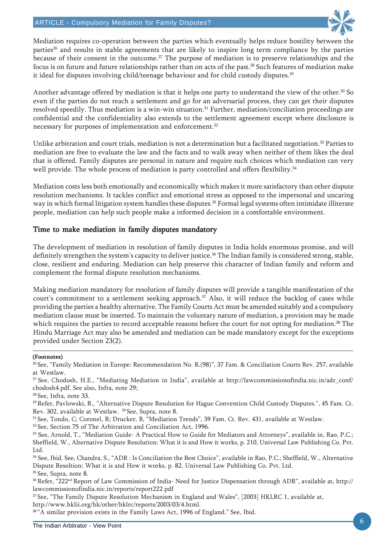

Mediation requires co-operation between the parties which eventually helps reduce hostility between the parties<sup>26</sup> and results in stable agreements that are likely to inspire long term compliance by the parties because of their consent in the outcome.<sup>27</sup> The purpose of mediation is to preserve relationships and the focus is on future and future relationships rather than on acts of the past.<sup>28</sup> Such features of mediation make it ideal for disputes involving child/teenage behaviour and for child custody disputes.<sup>29</sup>

Another advantage offered by mediation is that it helps one party to understand the view of the other.<sup>30</sup> So even if the parties do not reach a settlement and go for an adversarial process, they can get their disputes resolved speedily. Thus mediation is a win-win situation.<sup>31</sup> Further, mediation/conciliation proceedings are confidential and the confidentiality also extends to the settlement agreement except where disclosure is necessary for purposes of implementation and enforcement.<sup>32</sup>

Unlike arbitration and court trials, mediation is not a determination but a facilitated negotiation.<sup>33</sup> Parties to mediation are free to evaluate the law and the facts and to walk away when neither of them likes the deal that is offered. Family disputes are personal in nature and require such choices which mediation can very well provide. The whole process of mediation is party controlled and offers flexibility.<sup>34</sup>

Mediation costs less both emotionally and economically which makes it more satisfactory than other dispute resolution mechanisms. It tackles conflict and emotional stress as opposed to the impersonal and uncaring way in which formal litigation system handles these disputes.<sup>35</sup> Formal legal systems often intimidate illiterate people, mediation can help such people make a informed decision in a comfortable environment.

#### Time to make mediation in family disputes mandatory

The development of mediation in resolution of family disputes in India holds enormous promise, and will definitely strengthen the system's capacity to deliver justice.<sup>36</sup> The Indian family is considered strong, stable, close, resilient and enduring. Mediation can help preserve this character of Indian family and reform and complement the formal dispute resolution mechanisms.

Making mediation mandatory for resolution of family disputes will provide a tangible manifestation of the court's commitment to a settlement seeking approach.<sup>37</sup> Also, it will reduce the backlog of cases while providing the parties a healthy alternative. The Family Courts Act must be amended suitably and a compulsory mediation clause must be inserted. To maintain the voluntary nature of mediation, a provision may be made which requires the parties to record acceptable reasons before the court for not opting for mediation.<sup>38</sup> The Hindu Marriage Act may also be amended and mediation can be made mandatory except for the exceptions provided under Section 23(2).

#### (Footnotes)

<sup>26</sup> See, "Family Mediation in Europe: Recommendation No. R.(98)", 37 Fam. & Conciliation Courts Rev. 257, available at Westlaw.

27 See, Chodosh, H.E., "Mediating Mediation in India", available at http://lawcommissionofindia.nic.in/adr\_conf/ chodosh4.pdf. See also, Infra, note 29;

28 See, Infra, note 33.

<sup>29</sup> Refer, Pavlowski, R., "Alternative Dispute Resolution for Hague Convention Child Custody Disputes.", 45 Fam. Ct. Rev. 302, available at Westlaw. 30 See, Supra, note 8.

31 See, Tondo, C; Coronel, R; Drucker, B, "Mediation Trends", 39 Fam. Ct. Rev. 431, available at Westlaw.

<sup>32</sup> See, Section 75 of The Arbitration and Conciliation Act, 1996.

33 See, Arnold, T., "Mediation Guide- A Practical How to Guide for Mediators and Attorneys", available in, Rao, P.C.; Sheffield, W., Alternative Dispute Resolution: What it is and How it works, p. 210, Universal Law Publishing Co. Pvt. Ltd.

34 See, Ibid. See, Chandra, S., "ADR : Is Conciliation the Best Choice", available in Rao, P.C.; Sheffield, W., Alternative Dispute Resoltion: What it is and How it works, p. 82, Universal Law Publishing Co. Pvt. Ltd. <sup>35</sup> See, Supra, note 8.

36 Refer, "222nd Report of Law Commission of India- Need for Justice Dispensation through ADR", available at, http:// lawcommissionofindia.nic.in/reports/report222.pdf

37 See, "The Family Dispute Resolution Mechanism in England and Wales", [2003] HKLRC 1, available at, http://www.hklii.org/hk/other/hklrc/reports/2003/03/4.html.

38 "A similar provision exists in the Family Laws Act, 1996 of England." See, Ibid.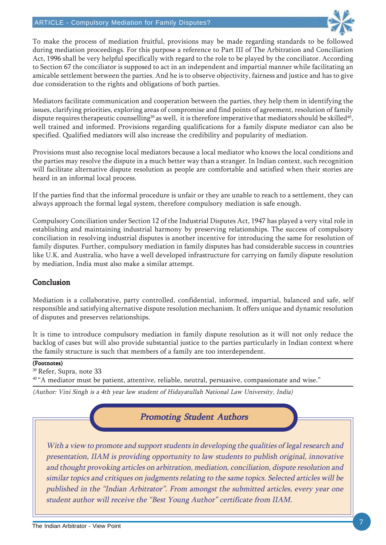

To make the process of mediation fruitful, provisions may be made regarding standards to be followed during mediation proceedings. For this purpose a reference to Part III of The Arbitration and Conciliation Act, 1996 shall be very helpful specifically with regard to the role to be played by the conciliator. According to Section 67 the conciliator is supposed to act in an independent and impartial manner while facilitating an amicable settlement between the parties. And he is to observe objectivity, fairness and justice and has to give due consideration to the rights and obligations of both parties.

Mediators facilitate communication and cooperation between the parties, they help them in identifying the issues, clarifying priorities, exploring areas of compromise and find points of agreement, resolution of family dispute requires therapeutic counselling<sup>39</sup> as well, it is therefore imperative that mediators should be skilled<sup>40</sup>, well trained and informed. Provisions regarding qualifications for a family dispute mediator can also be specified. Qualified mediators will also increase the credibility and popularity of mediation.

Provisions must also recognise local mediators because a local mediator who knows the local conditions and the parties may resolve the dispute in a much better way than a stranger. In Indian context, such recognition will facilitate alternative dispute resolution as people are comfortable and satisfied when their stories are heard in an informal local process.

If the parties find that the informal procedure is unfair or they are unable to reach to a settlement, they can always approach the formal legal system, therefore compulsory mediation is safe enough.

Compulsory Conciliation under Section 12 of the Industrial Disputes Act, 1947 has played a very vital role in establishing and maintaining industrial harmony by preserving relationships. The success of compulsory conciliation in resolving industrial disputes is another incentive for introducing the same for resolution of family disputes. Further, compulsory mediation in family disputes has had considerable success in countries like U.K. and Australia, who have a well developed infrastructure for carrying on family dispute resolution by mediation, India must also make a similar attempt.

#### Conclusion

Mediation is a collaborative, party controlled, confidential, informed, impartial, balanced and safe, self responsible and satisfying alternative dispute resolution mechanism. It offers unique and dynamic resolution of disputes and preserves relationships.

It is time to introduce compulsory mediation in family dispute resolution as it will not only reduce the backlog of cases but will also provide substantial justice to the parties particularly in Indian context where the family structure is such that members of a family are too interdependent.

#### (Footnotes)

39 Refer, Supra, note 33

<sup>40</sup> "A mediator must be patient, attentive, reliable, neutral, persuasive, compassionate and wise."

(Author: Vini Singh is a 4th year law student of Hidayatullah National Law University, India)

#### Promoting Student Authors

With a view to promote and support students in developing the qualities of legal research and presentation, IIAM is providing opportunity to law students to publish original, innovative and thought provoking articles on arbitration, mediation, conciliation, dispute resolution and similar topics and critiques on judgments relating to the same topics. Selected articles will be published in the "Indian Arbitrator". From amongst the submitted articles, every year one student author will receive the "Best Young Author" certificate from IIAM.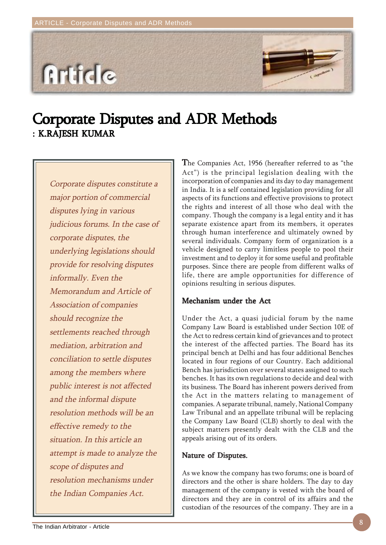# **Article**

### Corporate Disputes and ADR Methods : K.RAJESH KUMAR

Corporate disputes constitute a major portion of commercial disputes lying in various judicious forums. In the case of corporate disputes, the underlying legislations should provide for resolving disputes informally. Even the Memorandum and Article of Association of companies should recognize the settlements reached through mediation, arbitration and conciliation to settle disputes among the members where public interest is not affected and the informal dispute resolution methods will be an effective remedy to the situation. In this article an attempt is made to analyze the scope of disputes and resolution mechanisms under the Indian Companies Act.

The Companies Act, 1956 (hereafter referred to as "the Act") is the principal legislation dealing with the incorporation of companies and its day to day management in India. It is a self contained legislation providing for all aspects of its functions and effective provisions to protect the rights and interest of all those who deal with the company. Though the company is a legal entity and it has separate existence apart from its members, it operates through human interference and ultimately owned by several individuals. Company form of organization is a vehicle designed to carry limitless people to pool their investment and to deploy it for some useful and profitable purposes. Since there are people from different walks of life, there are ample opportunities for difference of opinions resulting in serious disputes.

#### Mechanism under the Act

Under the Act, a quasi judicial forum by the name Company Law Board is established under Section 10E of the Act to redress certain kind of grievances and to protect the interest of the affected parties. The Board has its principal bench at Delhi and has four additional Benches located in four regions of our Country. Each additional Bench has jurisdiction over several states assigned to such benches. It has its own regulations to decide and deal with its business. The Board has inherent powers derived from the Act in the matters relating to management of companies. A separate tribunal, namely, National Company Law Tribunal and an appellate tribunal will be replacing the Company Law Board (CLB) shortly to deal with the subject matters presently dealt with the CLB and the appeals arising out of its orders.

#### Nature of Disputes.

As we know the company has two forums; one is board of directors and the other is share holders. The day to day management of the company is vested with the board of directors and they are in control of its affairs and the custodian of the resources of the company. They are in a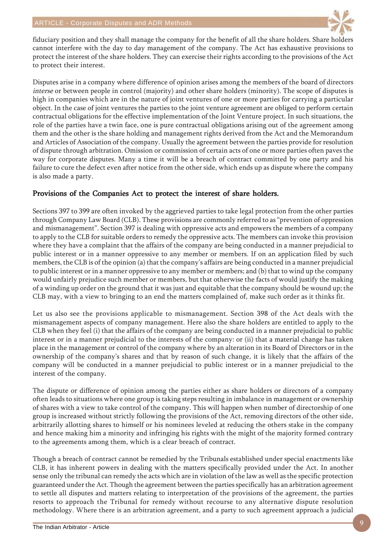

fiduciary position and they shall manage the company for the benefit of all the share holders. Share holders cannot interfere with the day to day management of the company. The Act has exhaustive provisions to protect the interest of the share holders. They can exercise their rights according to the provisions of the Act to protect their interest.

Disputes arise in a company where difference of opinion arises among the members of the board of directors interse or between people in control (majority) and other share holders (minority). The scope of disputes is high in companies which are in the nature of joint ventures of one or more parties for carrying a particular object. In the case of joint ventures the parties to the joint venture agreement are obliged to perform certain contractual obligations for the effective implementation of the Joint Venture project. In such situations, the role of the parties have a twin face, one is pure contractual obligations arising out of the agreement among them and the other is the share holding and management rights derived from the Act and the Memorandum and Articles of Association of the company. Usually the agreement between the parties provide for resolution of dispute through arbitration. Omission or commission of certain acts of one or more parties often paves the way for corporate disputes. Many a time it will be a breach of contract committed by one party and his failure to cure the defect even after notice from the other side, which ends up as dispute where the company is also made a party.

#### Provisions of the Companies Act to protect the interest of share holders.

Sections 397 to 399 are often invoked by the aggrieved parties to take legal protection from the other parties through Company Law Board (CLB). These provisions are commonly referred to as "prevention of oppression and mismanagement". Section 397 is dealing with oppressive acts and empowers the members of a company to apply to the CLB for suitable orders to remedy the oppressive acts. The members can invoke this provision where they have a complaint that the affairs of the company are being conducted in a manner prejudicial to public interest or in a manner oppressive to any member or members. If on an application filed by such members, the CLB is of the opinion (a) that the company's affairs are being conducted in a manner prejudicial to public interest or in a manner oppressive to any member or members; and (b) that to wind up the company would unfairly prejudice such member or members, but that otherwise the facts of would justify the making of a winding up order on the ground that it was just and equitable that the company should be wound up; the CLB may, with a view to bringing to an end the matters complained of, make such order as it thinks fit.

Let us also see the provisions applicable to mismanagement. Section 398 of the Act deals with the mismanagement aspects of company management. Here also the share holders are entitled to apply to the CLB when they feel (i) that the affairs of the company are being conducted in a manner prejudicial to public interest or in a manner prejudicial to the interests of the company: or (ii) that a material change has taken place in the management or control of the company where by an alteration in its Board of Directors or in the ownership of the company's shares and that by reason of such change, it is likely that the affairs of the company will be conducted in a manner prejudicial to public interest or in a manner prejudicial to the interest of the company.

The dispute or difference of opinion among the parties either as share holders or directors of a company often leads to situations where one group is taking steps resulting in imbalance in management or ownership of shares with a view to take control of the company. This will happen when number of directorship of one group is increased without strictly following the provisions of the Act, removing directors of the other side, arbitrarily allotting shares to himself or his nominees leveled at reducing the others stake in the company and hence making him a minority and infringing his rights with the might of the majority formed contrary to the agreements among them, which is a clear breach of contract.

Though a breach of contract cannot be remedied by the Tribunals established under special enactments like CLB, it has inherent powers in dealing with the matters specifically provided under the Act. In another sense only the tribunal can remedy the acts which are in violation of the law as well as the specific protection guaranteed under the Act. Though the agreement between the parties specifically has an arbitration agreement to settle all disputes and matters relating to interpretation of the provisions of the agreement, the parties resorts to approach the Tribunal for remedy without recourse to any alternative dispute resolution methodology. Where there is an arbitration agreement, and a party to such agreement approach a judicial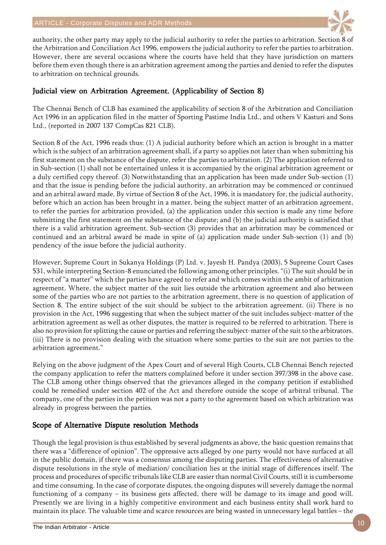

authority, the other party may apply to the judicial authority to refer the parties to arbitration. Section 8 of the Arbitration and Conciliation Act 1996, empowers the judicial authority to refer the parties to arbitration. However, there are several occasions where the courts have held that they have jurisdiction on matters before them even though there is an arbitration agreement among the parties and denied to refer the disputes to arbitration on technical grounds.

#### Judicial view on Arbitration Agreement. (Applicability of Section 8)

The Chennai Bench of CLB has examined the applicability of section 8 of the Arbitration and Conciliation Act 1996 in an application filed in the matter of Sporting Pastime India Ltd., and others V Kasturi and Sons Ltd., (reported in 2007 137 CompCas 821 CLB).

Section 8 of the Act, 1996 reads thus: (1) A judicial authority before which an action is brought in a matter which is the subject of an arbitration agreement shall, if a party so applies not later than when submitting his first statement on the substance of the dispute, refer the parties to arbitration. (2) The application referred to in Sub-section (1) shall not be entertained unless it is accompanied by the original arbitration agreement or a duly certified copy thereof. (3) Notwithstanding that an application has been made under Sub-section (1) and that the issue is pending before the judicial authority, an arbitration may be commenced or continued and an arbitral award made. By virtue of Section 8 of the Act, 1996, it is mandatory for, the judicial authority, before which an action has been brought in a matter, being the subject matter of an arbitration agreement, to refer the parties for arbitration provided, (a) the application under this section is made any time before submitting the first statement on the substance of the dispute; and (b) the judicial authority is satisfied that there is a valid arbitration agreement. Sub-section (3) provides that an arbitration may be commenced or continued and an arbitral award be made in spite of (a) application made under Sub-section (1) and (b) pendency of the issue before the judicial authority.

However, Supreme Court in Sukanya Holdings (P) Ltd. v. Jayesh H. Pandya (2003), 5 Supreme Court Cases 531, while interpreting Section-8 enunciated the following among other principles. "(i) The suit should be in respect of "a matter" which the parties have agreed to refer and which comes within the ambit of arbitration agreement. Where, the subject matter of the suit lies outside the arbitration agreement and also between some of the parties who are not parties to the arbitration agreement, there is no question of application of Section 8. The entire subject of the suit should be subject to the arbitration agreement. (ii) There is no provision in the Act, 1996 suggesting that when the subject matter of the suit includes subject-matter of the arbitration agreement as well as other disputes, the matter is required to be referred to arbitration. There is also no provision for splitting the cause or parties and referring the subject-matter of the suit to the arbitrators. (iii) There is no provision dealing with the situation where some parties to the suit are not parties to the arbitration agreement."

Relying on the above judgment of the Apex Court and of several High Courts, CLB Chennai Bench rejected the company application to refer the matters complained before it under section 397/398 in the above case. The CLB among other things observed that the grievances alleged in the company petition if established could be remedied under section 402 of the Act and therefore outside the scope of arbitral tribunal. The company, one of the parties in the petition was not a party to the agreement based on which arbitration was already in progress between the parties.

#### Scope of Alternative Dispute resolution Methods

Though the legal provision is thus established by several judgments as above, the basic question remains that there was a "difference of opinion". The oppressive acts alleged by one party would not have surfaced at all in the public domain, if there was a consensus among the disputing parties. The effectiveness of alternative dispute resolutions in the style of mediation/ conciliation lies at the initial stage of differences itself. The process and procedures of specific tribunals like CLB are easier than normal Civil Courts, still it is cumbersome and time consuming. In the case of corporate disputes, the ongoing disputes will severely damage the normal functioning of a company – its business gets affected, there will be damage to its image and good will. Presently we are living in a highly competitive environment and each business entity shall work hard to maintain its place. The valuable time and scarce resources are being wasted in unnecessary legal battles – the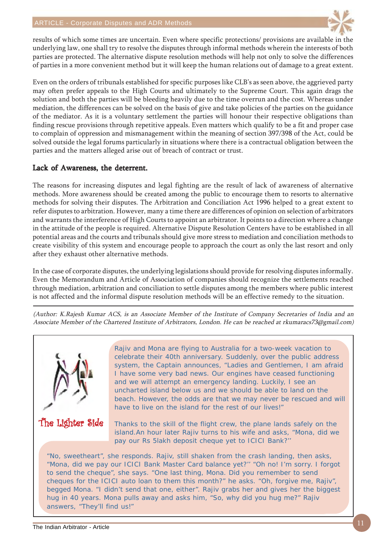

results of which some times are uncertain. Even where specific protections/ provisions are available in the underlying law, one shall try to resolve the disputes through informal methods wherein the interests of both parties are protected. The alternative dispute resolution methods will help not only to solve the differences of parties in a more convenient method but it will keep the human relations out of damage to a great extent.

Even on the orders of tribunals established for specific purposes like CLB's as seen above, the aggrieved party may often prefer appeals to the High Courts and ultimately to the Supreme Court. This again drags the solution and both the parties will be bleeding heavily due to the time overrun and the cost. Whereas under mediation, the differences can be solved on the basis of give and take policies of the parties on the guidance of the mediator. As it is a voluntary settlement the parties will honour their respective obligations than finding rescue provisions through repetitive appeals. Even matters which qualify to be a fit and proper case to complain of oppression and mismanagement within the meaning of section 397/398 of the Act, could be solved outside the legal forums particularly in situations where there is a contractual obligation between the parties and the matters alleged arise out of breach of contract or trust.

#### Lack of Awareness, the deterrent.

The reasons for increasing disputes and legal fighting are the result of lack of awareness of alternative methods. More awareness should be created among the public to encourage them to resorts to alternative methods for solving their disputes. The Arbitration and Conciliation Act 1996 helped to a great extent to refer disputes to arbitration. However, many a time there are differences of opinion on selection of arbitrators and warrants the interference of High Courts to appoint an arbitrator. It points to a direction where a change in the attitude of the people is required. Alternative Dispute Resolution Centers have to be established in all potential areas and the courts and tribunals should give more stress to mediation and conciliation methods to create visibility of this system and encourage people to approach the court as only the last resort and only after they exhaust other alternative methods.

In the case of corporate disputes, the underlying legislations should provide for resolving disputes informally. Even the Memorandum and Article of Association of companies should recognize the settlements reached through mediation, arbitration and conciliation to settle disputes among the members where public interest is not affected and the informal dispute resolution methods will be an effective remedy to the situation.

(Author: K.Rajesh Kumar ACS, is an Associate Member of the Institute of Company Secretaries of India and an Associate Member of the Chartered Institute of Arbitrators, London. He can be reached at rkumaracs73@gmail.com)



Rajiv and Mona are flying to Australia for a two-week vacation to celebrate their 40th anniversary. Suddenly, over the public address system, the Captain announces, "Ladies and Gentlemen, I am afraid I have some very bad news. Our engines have ceased functioning and we will attempt an emergency landing. Luckily, I see an uncharted island below us and we should be able to land on the beach. However, the odds are that we may never be rescued and will have to live on the island for the rest of our lives!"

Thanks to the skill of the flight crew, the plane lands safely on the island.An hour later Rajiv turns to his wife and asks, "Mona, did we pay our Rs 5lakh deposit cheque yet to ICICI Bank?''

"No, sweetheart", she responds. Rajiv, still shaken from the crash landing, then asks, "Mona, did we pay our ICICI Bank Master Card balance yet?'' "Oh no! I'm sorry. I forgot to send the cheque", she says. "One last thing, Mona. Did you remember to send cheques for the ICICI auto loan to them this month?" he asks. "Oh, forgive me, Rajiv", begged Mona. "I didn't send that one, either". Rajiv grabs her and gives her the biggest hug in 40 years. Mona pulls away and asks him, "So, why did you hug me?" Rajiv answers, "They'll find us!"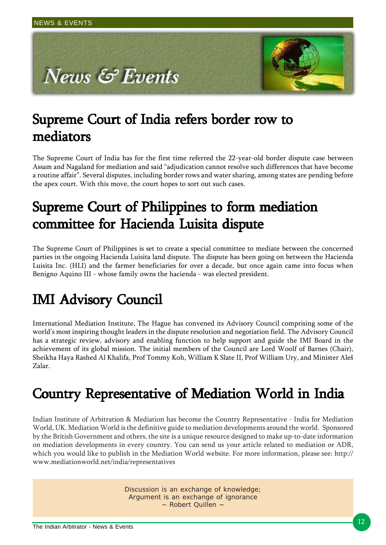### Supreme Court of India refers border row to mediators mediators

The Supreme Court of India has for the first time referred the 22-year-old border dispute case between Assam and Nagaland for mediation and said "adjudication cannot resolve such differences that have become a routine affair". Several disputes, including border rows and water sharing, among states are pending before the apex court. With this move, the court hopes to sort out such cases.

### Supreme Court of Philippines to form mediation committee for Hacienda Luisita dispute

The Supreme Court of Philippines is set to create a special committee to mediate between the concerned parties in the ongoing Hacienda Luisita land dispute. The dispute has been going on between the Hacienda Luisita Inc. (HLI) and the farmer beneficiaries for over a decade, but once again came into focus when Benigno Aquino III - whose family owns the hacienda - was elected president.

# **IMI Advisory Council**

International Mediation Institute, The Hague has convened its Advisory Council comprising some of the world's most inspiring thought leaders in the dispute resolution and negotiation field. The Advisory Council has a strategic review, advisory and enabling function to help support and guide the IMI Board in the achievement of its global mission. The initial members of the Council are Lord Woolf of Barnes (Chair), Sheikha Haya Rashed Al Khalifa, Prof Tommy Koh, William K Slate II, Prof William Ury, and Minister Aleš Zalar.

# Country Representative of Mediation World in India

Indian Institute of Arbitration & Mediation has become the Country Representative - India for Mediation World, UK. Mediation World is the definitive guide to mediation developments around the world. Sponsored by the British Government and others, the site is a unique resource designed to make up-to-date information on mediation developments in every country. You can send us your article related to mediation or ADR, which you would like to publish in the Mediation World website. For more information, please see: http:// www.mediationworld.net/india/representatives

> Discussion is an exchange of knowledge; Argument is an exchange of ignorance ~ Robert Quillen ~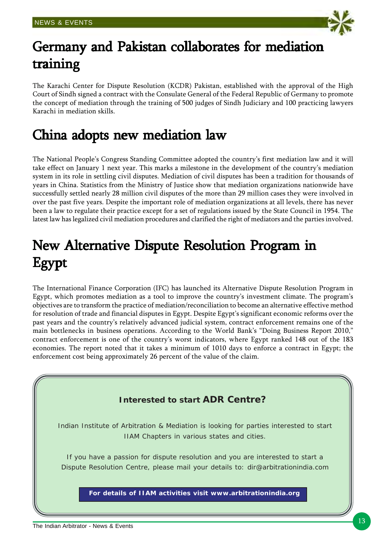

### Germany and Pakistan collaborates for mediation training

The Karachi Center for Dispute Resolution (KCDR) Pakistan, established with the approval of the High Court of Sindh signed a contract with the Consulate General of the Federal Republic of Germany to promote the concept of mediation through the training of 500 judges of Sindh Judiciary and 100 practicing lawyers Karachi in mediation skills.

### China adopts new mediation law

The National People's Congress Standing Committee adopted the country's first mediation law and it will take effect on January 1 next year. This marks a milestone in the development of the country's mediation system in its role in settling civil disputes. Mediation of civil disputes has been a tradition for thousands of years in China. Statistics from the Ministry of Justice show that mediation organizations nationwide have successfully settled nearly 28 million civil disputes of the more than 29 million cases they were involved in over the past five years. Despite the important role of mediation organizations at all levels, there has never been a law to regulate their practice except for a set of regulations issued by the State Council in 1954. The latest law has legalized civil mediation procedures and clarified the right of mediators and the parties involved.

# New Alternative Dispute Resolution Program in New Alternative Dispute Resolution Program in Egypt

The International Finance Corporation (IFC) has launched its Alternative Dispute Resolution Program in Egypt, which promotes mediation as a tool to improve the country's investment climate. The program's objectives are to transform the practice of mediation/reconciliation to become an alternative effective method for resolution of trade and financial disputes in Egypt. Despite Egypt's significant economic reforms over the past years and the country's relatively advanced judicial system, contract enforcement remains one of the main bottlenecks in business operations. According to the World Bank's "Doing Business Report 2010," contract enforcement is one of the country's worst indicators, where Egypt ranked 148 out of the 183 economies. The report noted that it takes a minimum of 1010 days to enforce a contract in Egypt; the enforcement cost being approximately 26 percent of the value of the claim.